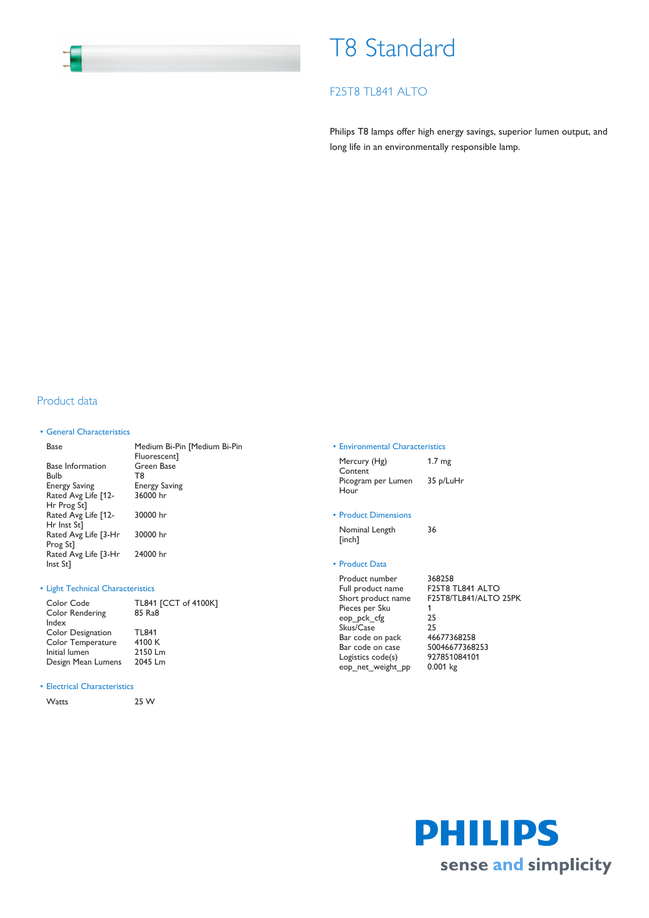# T8 Standard

# F25T8 TL841 ALTO

Philips T8 lamps offer high energy savings, superior lumen output, and long life in an environmentally responsible lamp.

## Product data

## • General Characteristics

| Base                    | Medium Bi-Pin [Medium Bi-Pin<br>Fluorescent] |
|-------------------------|----------------------------------------------|
| <b>Base Information</b> | Green Base                                   |
| Bulb                    | T8                                           |
| <b>Energy Saving</b>    | <b>Energy Saving</b>                         |
| Rated Avg Life [12-     | 36000 hr                                     |
| Hr Prog St]             |                                              |
| Rated Avg Life [12-     | 30000 hr                                     |
| Hr Inst St]             |                                              |
| Rated Avg Life [3-Hr    | 30000 hr                                     |
| Prog St <sub>1</sub>    |                                              |
| Rated Avg Life [3-Hr    | 24000 hr                                     |
| Inst St]                |                                              |

## • Light Technical Characteristics

| Color Code               | TL841 [CCT of 4100K] |
|--------------------------|----------------------|
| Color Rendering          | 85 Ra8               |
| Index                    |                      |
| <b>Color Designation</b> | TI 841               |
| Color Temperature        | 4100 K               |
| Initial lumen            | 2150 Lm              |
| Design Mean Lumens       | 2045 Lm              |
|                          |                      |

## • Electrical Characteristics

Watts 25 W

#### • Environmental Characteristics

| Mercury (Hg)       | 1.7 <sub>mg</sub> |
|--------------------|-------------------|
| Content            |                   |
| Picogram per Lumen | 35 p/LuHr         |
| Hour               |                   |

## • Product Dimensions

Nominal Length [inch] 36

### • Product Data

Product number 368258<br>Full product name F25T8 TL841 ALTO Full product name Short product name F25T8/TL841/ALTO 25PK Pieces per Sku 1 eop\_pck\_cfg 25 Skus/Case 25 Bar code on pack 46677368258 Bar code on case 50046677368253<br>Logistics code(s) 927851084101 Logistics code(s) 92785108<br>eop\_net\_weight\_pp 0.001 kg eop\_net\_weight\_pp